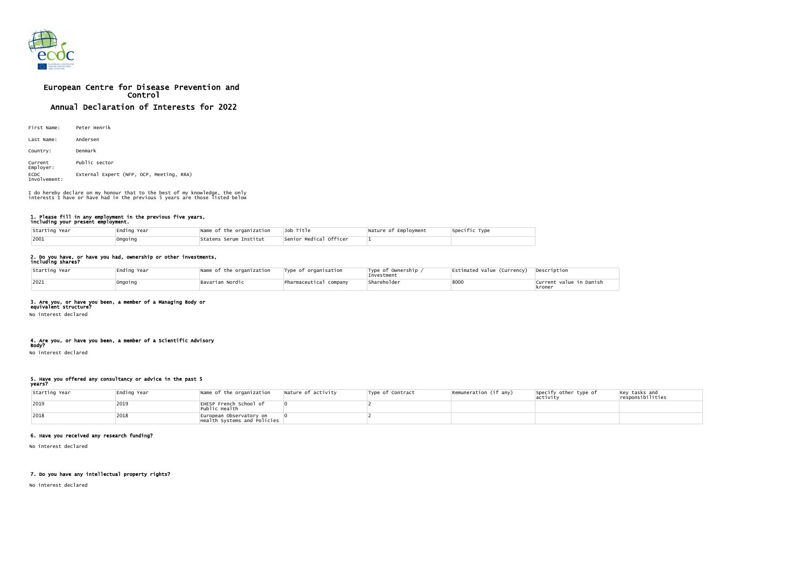

# European Centre for Disease Prevention and Control Annual Declaration of Interests for 2022

| First Name:                 | Peter Henrik                             |
|-----------------------------|------------------------------------------|
| Last Name:                  | Andersen                                 |
| Country:                    | Denmark                                  |
| Current<br>Employer:        | Public sector                            |
| <b>ECDC</b><br>Involvement: | External Expert (NFP, OCP, Meeting, RRA) |

#### 1. Please fill in any employment in the previous five years, including your present employment.

| Starting Year | Ending Year | Name of the organization | Job Title              | Nature of Employment | Specific Type |
|---------------|-------------|--------------------------|------------------------|----------------------|---------------|
| 2001          | Ongoing     | Statens Serum Institut   | Senior Medical Officer |                      |               |

## 2. Do you have, or have you had, ownership or other investments,

| including shares? |  |
|-------------------|--|
|-------------------|--|

| Starting Year | Ending Year | Name of the organization | Type of organisation   | Type of Ownership $\overline{ }$<br>Investment | Estimated Value (Currency) | Description                       |
|---------------|-------------|--------------------------|------------------------|------------------------------------------------|----------------------------|-----------------------------------|
| 2021          | Ongoing     | Bavarian Nordic          | Pharmaceutical company | Shareholder                                    | 8000                       | Current value in Danish<br>kroner |

### 3. Are you, or have you been, a member of a Managing Body or

equivalent structure? No interest declared

### 4. Are you, or have you been, a member of a Scientific Advisory

Body? No interest declared

### 5. Have you offered any consultancy or advice in the past 5

years?

| Starting Year | Ending Year | Name of the organization                               | Nature of activity | Type of Contract | $\sqrt{\mathsf{Remuneration}}$ (if any) | Specify other type of<br>activity | $\vert$ Key tasks and<br>responsibilities |
|---------------|-------------|--------------------------------------------------------|--------------------|------------------|-----------------------------------------|-----------------------------------|-------------------------------------------|
| $ 2019$       | 2019        | EHESP French School of<br>Public Health                |                    |                  |                                         |                                   |                                           |
| 2018          | 2018        | European Observatory on<br>Health Systems and Policies |                    |                  |                                         |                                   |                                           |

# 6. Have you received any research funding?

No interest declared

### 7. Do you have any intellectual property rights?

No interest declared

| Specific Type |  |
|---------------|--|
|               |  |

I do hereby declare on my honour that to the best of my knowledge, the only interests I have or have had in the previous 5 years are those listed below